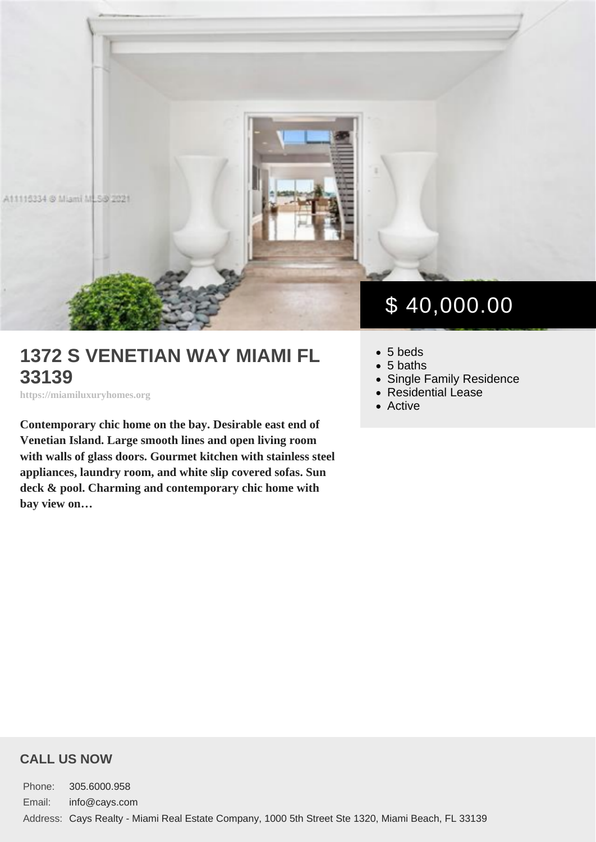# 1372 S VENETIAN WAY MIAMI FL 33139

https://miamiluxuryhomes.org

Contemporary chic home on the bay. Desirable east end of Venetian Island. Large smooth lines and open living room with walls of glass doors. Gourmet kitchen with stainless steel appliances, laundry room, and white slip covered sofas. Sun deck & pool. Charming and contemporary chic home with bay view on…

# \$ 40,000.00

- 5 beds
- 5 baths
- [Single Family Residence](https://miamiluxuryhomes.org/es_type/single-family-residence/)
- [Residential Lease](https://miamiluxuryhomes.org/es_category/residential-lease/)
- [Active](https://miamiluxuryhomes.org/es_status/active/)

#### CALL US NOW

Phone: 305.6000.958 Email: info@cays.com Address: Cays Realty - Miami Real Estate Company, 1000 5th Street Ste 1320, Miami Beach, FL 33139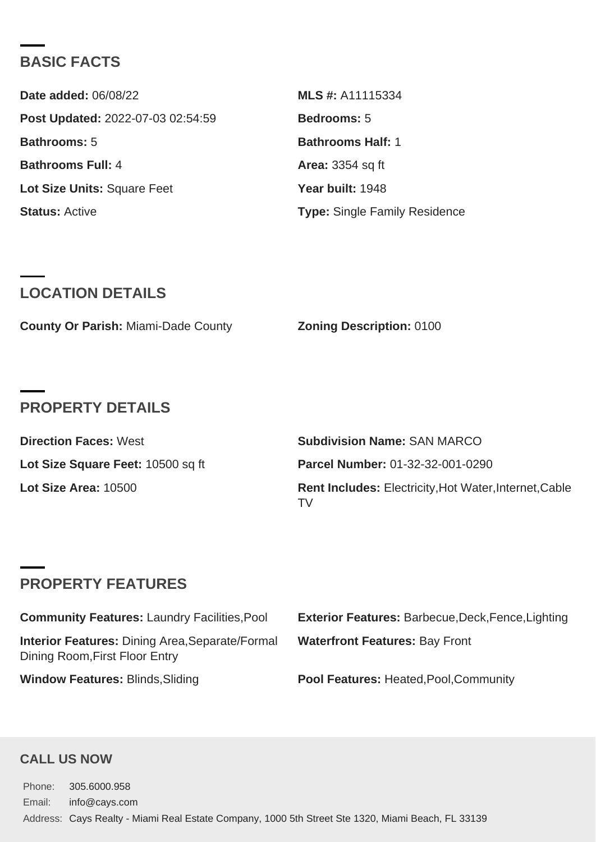## BASIC FACTS

| Date added: 06/08/22              | MLS #: A11115334              |
|-----------------------------------|-------------------------------|
| Post Updated: 2022-07-03 02:54:59 | Bedrooms: 5                   |
| Bathrooms: 5                      | Bathrooms Half: 1             |
| Bathrooms Full: 4                 | Area: 3354 sq ft              |
| Lot Size Units: Square Feet       | Year built: 1948              |
| Status: Active                    | Type: Single Family Residence |

# LOCATION DETAILS

|  | County Or Parish: Miami-Dade County | Zoning Description: 0100 |  |
|--|-------------------------------------|--------------------------|--|
|--|-------------------------------------|--------------------------|--|

## PROPERTY DETAILS

| Direction Faces: West             | Subdivision Name: SAN MARCO                                  |
|-----------------------------------|--------------------------------------------------------------|
| Lot Size Square Feet: 10500 sq ft | Parcel Number: 01-32-32-001-0290                             |
| Lot Size Area: 10500              | Rent Includes: Electricity, Hot Water, Internet, Cable<br>TV |

# PROPERTY FEATURES

| Community Features: Laundry Facilities, Pool                                      | Exterior Features: Barbecue, Deck, Fence, Lighting |
|-----------------------------------------------------------------------------------|----------------------------------------------------|
| Interior Features: Dining Area, Separate/Formal<br>Dining Room, First Floor Entry | Waterfront Features: Bay Front                     |
| Window Features: Blinds, Sliding                                                  | Pool Features: Heated, Pool, Community             |

### CALL US NOW

Phone: 305.6000.958 Email: info@cays.com Address: Cays Realty - Miami Real Estate Company, 1000 5th Street Ste 1320, Miami Beach, FL 33139